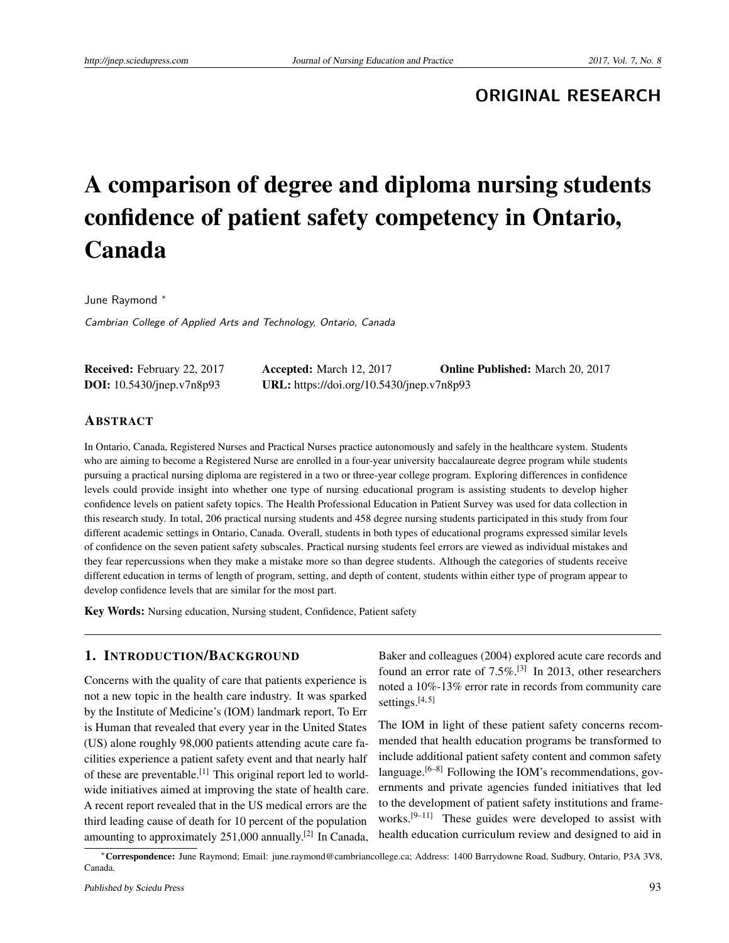**ORIGINAL RESEARCH**

# A comparison of degree and diploma nursing students confidence of patient safety competency in Ontario, Canada

June Raymond <sup>∗</sup>

Cambrian College of Applied Arts and Technology, Ontario, Canada

| <b>Received:</b> February 22, 2017 | <b>Accepted:</b> March 12, 2017           | <b>Online Published:</b> March 20, 2017 |
|------------------------------------|-------------------------------------------|-----------------------------------------|
| <b>DOI:</b> 10.5430/jnep.v7n8p93   | URL: https://doi.org/10.5430/jnep.v7n8p93 |                                         |

## ABSTRACT

In Ontario, Canada, Registered Nurses and Practical Nurses practice autonomously and safely in the healthcare system. Students who are aiming to become a Registered Nurse are enrolled in a four-year university baccalaureate degree program while students pursuing a practical nursing diploma are registered in a two or three-year college program. Exploring differences in confidence levels could provide insight into whether one type of nursing educational program is assisting students to develop higher confidence levels on patient safety topics. The Health Professional Education in Patient Survey was used for data collection in this research study. In total, 206 practical nursing students and 458 degree nursing students participated in this study from four different academic settings in Ontario, Canada. Overall, students in both types of educational programs expressed similar levels of confidence on the seven patient safety subscales. Practical nursing students feel errors are viewed as individual mistakes and they fear repercussions when they make a mistake more so than degree students. Although the categories of students receive different education in terms of length of program, setting, and depth of content, students within either type of program appear to develop confidence levels that are similar for the most part.

Key Words: Nursing education, Nursing student, Confidence, Patient safety

## 1. INTRODUCTION/BACKGROUND

Concerns with the quality of care that patients experience is not a new topic in the health care industry. It was sparked by the Institute of Medicine's (IOM) landmark report, To Err is Human that revealed that every year in the United States (US) alone roughly 98,000 patients attending acute care facilities experience a patient safety event and that nearly half of these are preventable.<sup>[\[1\]](#page-7-0)</sup> This original report led to worldwide initiatives aimed at improving the state of health care. A recent report revealed that in the US medical errors are the third leading cause of death for 10 percent of the population amounting to approximately 251,000 annually.<sup>[\[2\]](#page-7-1)</sup> In Canada,

Baker and colleagues (2004) explored acute care records and found an error rate of 7.5%.<sup>[\[3\]](#page-7-2)</sup> In 2013, other researchers noted a 10%-13% error rate in records from community care settings. $[4, 5]$  $[4, 5]$  $[4, 5]$ 

The IOM in light of these patient safety concerns recommended that health education programs be transformed to include additional patient safety content and common safety language.  $[6-8]$  $[6-8]$  Following the IOM's recommendations, governments and private agencies funded initiatives that led to the development of patient safety institutions and frameworks.[\[9](#page-7-7)[–11\]](#page-7-8) These guides were developed to assist with health education curriculum review and designed to aid in

<sup>∗</sup>Correspondence: June Raymond; Email: june.raymond@cambriancollege.ca; Address: 1400 Barrydowne Road, Sudbury, Ontario, P3A 3V8, Canada.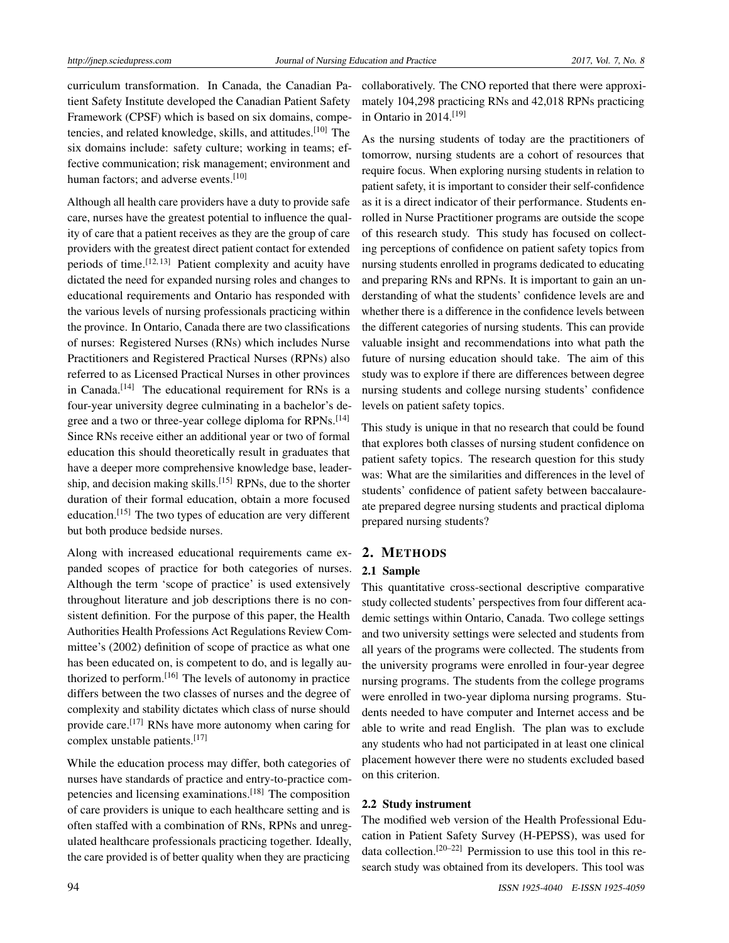curriculum transformation. In Canada, the Canadian Patient Safety Institute developed the Canadian Patient Safety Framework (CPSF) which is based on six domains, compe-tencies, and related knowledge, skills, and attitudes.<sup>[\[10\]](#page-7-9)</sup> The six domains include: safety culture; working in teams; effective communication; risk management; environment and human factors; and adverse events.<sup>[\[10\]](#page-7-9)</sup>

Although all health care providers have a duty to provide safe care, nurses have the greatest potential to influence the quality of care that a patient receives as they are the group of care providers with the greatest direct patient contact for extended periods of time.<sup>[\[12,](#page-7-10) [13\]](#page-7-11)</sup> Patient complexity and acuity have dictated the need for expanded nursing roles and changes to educational requirements and Ontario has responded with the various levels of nursing professionals practicing within the province. In Ontario, Canada there are two classifications of nurses: Registered Nurses (RNs) which includes Nurse Practitioners and Registered Practical Nurses (RPNs) also referred to as Licensed Practical Nurses in other provinces in Canada.<sup>[\[14\]](#page-7-12)</sup> The educational requirement for RNs is a four-year university degree culminating in a bachelor's de-gree and a two or three-year college diploma for RPNs.<sup>[\[14\]](#page-7-12)</sup> Since RNs receive either an additional year or two of formal education this should theoretically result in graduates that have a deeper more comprehensive knowledge base, leader-ship, and decision making skills.<sup>[\[15\]](#page-7-13)</sup> RPNs, due to the shorter duration of their formal education, obtain a more focused education.[\[15\]](#page-7-13) The two types of education are very different but both produce bedside nurses.

Along with increased educational requirements came expanded scopes of practice for both categories of nurses. Although the term 'scope of practice' is used extensively throughout literature and job descriptions there is no consistent definition. For the purpose of this paper, the Health Authorities Health Professions Act Regulations Review Committee's (2002) definition of scope of practice as what one has been educated on, is competent to do, and is legally authorized to perform.[\[16\]](#page-7-14) The levels of autonomy in practice differs between the two classes of nurses and the degree of complexity and stability dictates which class of nurse should provide care.<sup>[\[17\]](#page-7-15)</sup> RNs have more autonomy when caring for complex unstable patients.[\[17\]](#page-7-15)

While the education process may differ, both categories of nurses have standards of practice and entry-to-practice competencies and licensing examinations.[\[18\]](#page-7-16) The composition of care providers is unique to each healthcare setting and is often staffed with a combination of RNs, RPNs and unregulated healthcare professionals practicing together. Ideally, the care provided is of better quality when they are practicing

collaboratively. The CNO reported that there were approximately 104,298 practicing RNs and 42,018 RPNs practicing in Ontario in 2014.[\[19\]](#page-7-17)

As the nursing students of today are the practitioners of tomorrow, nursing students are a cohort of resources that require focus. When exploring nursing students in relation to patient safety, it is important to consider their self-confidence as it is a direct indicator of their performance. Students enrolled in Nurse Practitioner programs are outside the scope of this research study. This study has focused on collecting perceptions of confidence on patient safety topics from nursing students enrolled in programs dedicated to educating and preparing RNs and RPNs. It is important to gain an understanding of what the students' confidence levels are and whether there is a difference in the confidence levels between the different categories of nursing students. This can provide valuable insight and recommendations into what path the future of nursing education should take. The aim of this study was to explore if there are differences between degree nursing students and college nursing students' confidence levels on patient safety topics.

This study is unique in that no research that could be found that explores both classes of nursing student confidence on patient safety topics. The research question for this study was: What are the similarities and differences in the level of students' confidence of patient safety between baccalaureate prepared degree nursing students and practical diploma prepared nursing students?

## 2. METHODS

## 2.1 Sample

This quantitative cross-sectional descriptive comparative study collected students' perspectives from four different academic settings within Ontario, Canada. Two college settings and two university settings were selected and students from all years of the programs were collected. The students from the university programs were enrolled in four-year degree nursing programs. The students from the college programs were enrolled in two-year diploma nursing programs. Students needed to have computer and Internet access and be able to write and read English. The plan was to exclude any students who had not participated in at least one clinical placement however there were no students excluded based on this criterion.

### 2.2 Study instrument

The modified web version of the Health Professional Education in Patient Safety Survey (H-PEPSS), was used for data collection.[\[20–](#page-7-18)[22\]](#page-7-19) Permission to use this tool in this research study was obtained from its developers. This tool was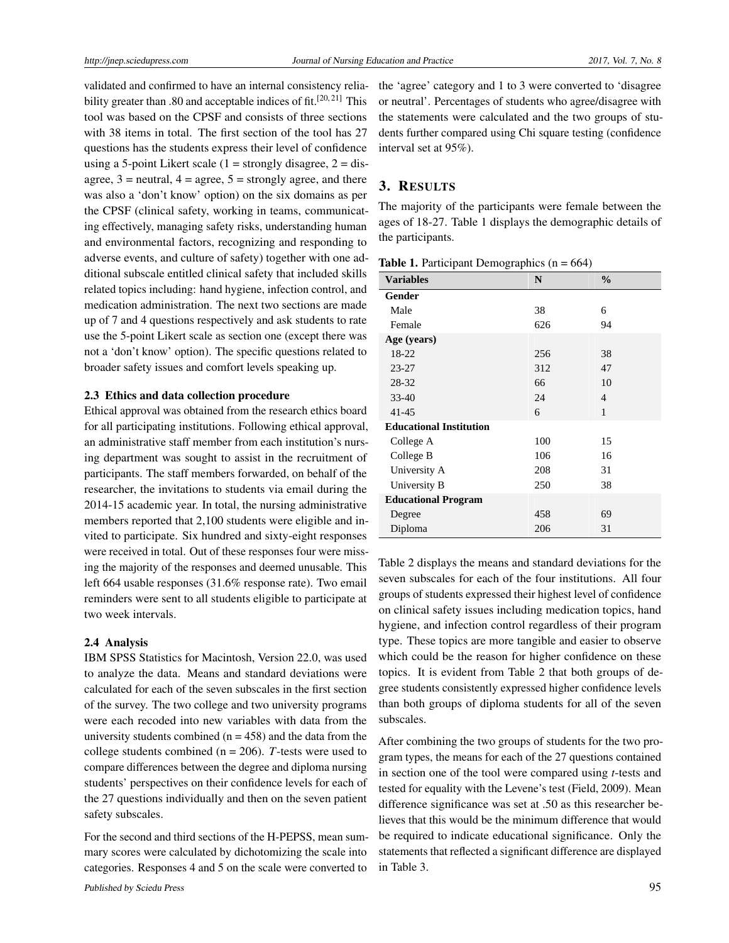validated and confirmed to have an internal consistency relia-bility greater than .80 and acceptable indices of fit.<sup>[\[20,](#page-7-18) [21\]](#page-7-20)</sup> This tool was based on the CPSF and consists of three sections with 38 items in total. The first section of the tool has 27 questions has the students express their level of confidence using a 5-point Likert scale  $(1 =$  strongly disagree,  $2 =$  disagree,  $3$  = neutral,  $4$  = agree,  $5$  = strongly agree, and there was also a 'don't know' option) on the six domains as per the CPSF (clinical safety, working in teams, communicating effectively, managing safety risks, understanding human and environmental factors, recognizing and responding to adverse events, and culture of safety) together with one additional subscale entitled clinical safety that included skills related topics including: hand hygiene, infection control, and medication administration. The next two sections are made up of 7 and 4 questions respectively and ask students to rate use the 5-point Likert scale as section one (except there was not a 'don't know' option). The specific questions related to broader safety issues and comfort levels speaking up.

#### 2.3 Ethics and data collection procedure

Ethical approval was obtained from the research ethics board for all participating institutions. Following ethical approval, an administrative staff member from each institution's nursing department was sought to assist in the recruitment of participants. The staff members forwarded, on behalf of the researcher, the invitations to students via email during the 2014-15 academic year. In total, the nursing administrative members reported that 2,100 students were eligible and invited to participate. Six hundred and sixty-eight responses were received in total. Out of these responses four were missing the majority of the responses and deemed unusable. This left 664 usable responses (31.6% response rate). Two email reminders were sent to all students eligible to participate at two week intervals.

#### 2.4 Analysis

IBM SPSS Statistics for Macintosh, Version 22.0, was used to analyze the data. Means and standard deviations were calculated for each of the seven subscales in the first section of the survey. The two college and two university programs were each recoded into new variables with data from the university students combined ( $n = 458$ ) and the data from the college students combined ( $n = 206$ ). *T*-tests were used to compare differences between the degree and diploma nursing students' perspectives on their confidence levels for each of the 27 questions individually and then on the seven patient safety subscales.

For the second and third sections of the H-PEPSS, mean summary scores were calculated by dichotomizing the scale into categories. Responses 4 and 5 on the scale were converted to

the 'agree' category and 1 to 3 were converted to 'disagree or neutral'. Percentages of students who agree/disagree with the statements were calculated and the two groups of students further compared using Chi square testing (confidence interval set at 95%).

## 3. RESULTS

The majority of the participants were female between the ages of 18-27. Table 1 displays the demographic details of the participants.

**Table 1.** Participant Demographics  $(n = 664)$ 

| <b>Variables</b>               | N   | $\frac{0}{0}$ |
|--------------------------------|-----|---------------|
| Gender                         |     |               |
| Male                           | 38  | 6             |
| Female                         | 626 | 94            |
| Age (years)                    |     |               |
| 18-22                          | 256 | 38            |
| $23 - 27$                      | 312 | 47            |
| 28-32                          | 66  | 10            |
| 33-40                          | 24  | 4             |
| 41-45                          | 6   | 1             |
| <b>Educational Institution</b> |     |               |
| College A                      | 100 | 15            |
| College B                      | 106 | 16            |
| University A                   | 208 | 31            |
| University B                   | 250 | 38            |
| <b>Educational Program</b>     |     |               |
| Degree                         | 458 | 69            |
| Diploma                        | 206 | 31            |

Table 2 displays the means and standard deviations for the seven subscales for each of the four institutions. All four groups of students expressed their highest level of confidence on clinical safety issues including medication topics, hand hygiene, and infection control regardless of their program type. These topics are more tangible and easier to observe which could be the reason for higher confidence on these topics. It is evident from Table 2 that both groups of degree students consistently expressed higher confidence levels than both groups of diploma students for all of the seven subscales.

After combining the two groups of students for the two program types, the means for each of the 27 questions contained in section one of the tool were compared using *t*-tests and tested for equality with the Levene's test (Field, 2009). Mean difference significance was set at .50 as this researcher believes that this would be the minimum difference that would be required to indicate educational significance. Only the statements that reflected a significant difference are displayed in Table 3.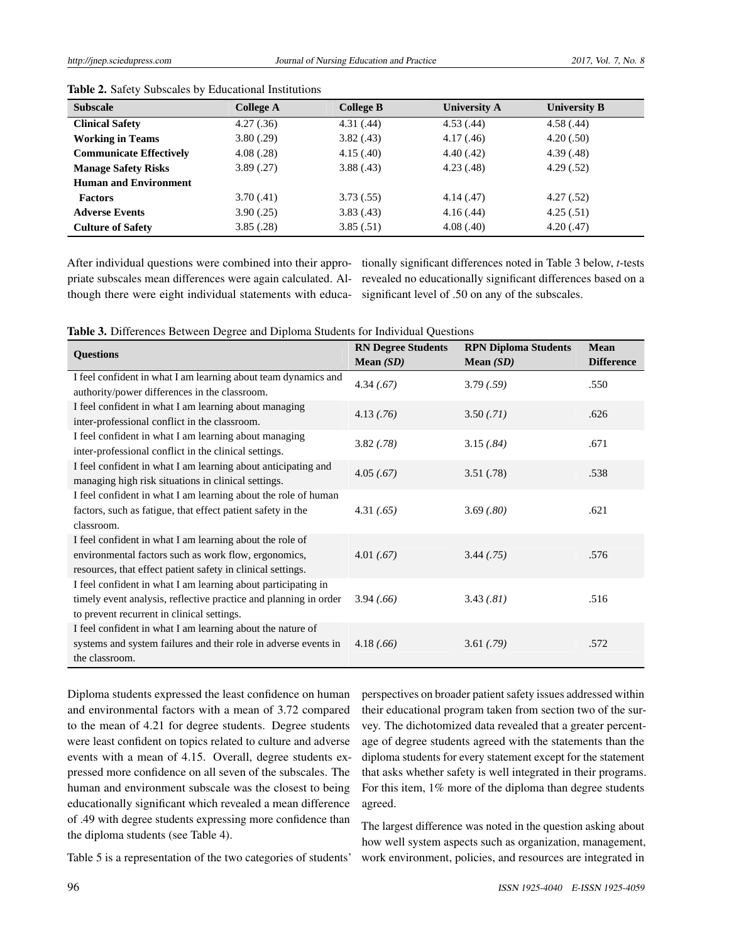| <b>Subscale</b>                | <b>College A</b> | <b>College B</b> | <b>University A</b> | <b>University B</b> |  |
|--------------------------------|------------------|------------------|---------------------|---------------------|--|
| <b>Clinical Safety</b>         | 4.27(.36)        | 4.31(.44)        | 4.53(.44)           | 4.58(.44)           |  |
| <b>Working in Teams</b>        | 3.80(.29)        | 3.82(.43)        | 4.17(0.46)          | 4.20(.50)           |  |
| <b>Communicate Effectively</b> | 4.08(.28)        | 4.15(.40)        | 4.40(0.42)          | 4.39(0.48)          |  |
| <b>Manage Safety Risks</b>     | 3.89(.27)        | 3.88(0.43)       | 4.23(0.48)          | 4.29(.52)           |  |
| <b>Human and Environment</b>   |                  |                  |                     |                     |  |
| <b>Factors</b>                 | 3.70(0.41)       | 3.73(.55)        | 4.14(0.47)          | 4.27(.52)           |  |
| <b>Adverse Events</b>          | 3.90(.25)        | 3.83(.43)        | 4.16(.44)           | 4.25(.51)           |  |
| <b>Culture of Safety</b>       | 3.85(.28)        | 3.85(.51)        | 4.08(0.40)          | 4.20(0.47)          |  |
|                                |                  |                  |                     |                     |  |

|  | Table 2. Safety Subscales by Educational Institutions |  |
|--|-------------------------------------------------------|--|
|  |                                                       |  |

priate subscales mean differences were again calculated. Although there were eight individual statements with educa-

After individual questions were combined into their appro-tionally significant differences noted in Table 3 below, *t*-tests revealed no educationally significant differences based on a significant level of .50 on any of the subscales.

|  | Table 3. Differences Between Degree and Diploma Students for Individual Questions |  |  |  |  |  |  |  |  |  |  |
|--|-----------------------------------------------------------------------------------|--|--|--|--|--|--|--|--|--|--|
|--|-----------------------------------------------------------------------------------|--|--|--|--|--|--|--|--|--|--|

| <b>Questions</b>                                                                                                                                                                | <b>RN Degree Students</b><br>Mean $(SD)$ | <b>RPN Diploma Students</b><br>Mean $(SD)$ | <b>Mean</b><br><b>Difference</b> |
|---------------------------------------------------------------------------------------------------------------------------------------------------------------------------------|------------------------------------------|--------------------------------------------|----------------------------------|
| I feel confident in what I am learning about team dynamics and<br>authority/power differences in the classroom.                                                                 | 4.34(.67)                                | 3.79(.59)                                  | .550                             |
| I feel confident in what I am learning about managing<br>inter-professional conflict in the classroom.                                                                          | 4.13(.76)                                | 3.50(.71)                                  | .626                             |
| I feel confident in what I am learning about managing<br>inter-professional conflict in the clinical settings.                                                                  | 3.82(.78)                                | 3.15(.84)                                  | .671                             |
| I feel confident in what I am learning about anticipating and<br>managing high risk situations in clinical settings.                                                            | 4.05(.67)                                | 3.51(.78)                                  | .538                             |
| I feel confident in what I am learning about the role of human<br>factors, such as fatigue, that effect patient safety in the<br>classroom.                                     | 4.31(.65)                                | 3.69(.80)                                  | .621                             |
| I feel confident in what I am learning about the role of<br>environmental factors such as work flow, ergonomics,<br>resources, that effect patient safety in clinical settings. | 4.01(.67)                                | 3.44(.75)                                  | .576                             |
| I feel confident in what I am learning about participating in<br>timely event analysis, reflective practice and planning in order<br>to prevent recurrent in clinical settings. | 3.94(.66)                                | 3.43(.81)                                  | .516                             |
| I feel confident in what I am learning about the nature of<br>systems and system failures and their role in adverse events in<br>the classroom.                                 | 4.18(.66)                                | 3.61(.79)                                  | .572                             |

Diploma students expressed the least confidence on human and environmental factors with a mean of 3.72 compared to the mean of 4.21 for degree students. Degree students were least confident on topics related to culture and adverse events with a mean of 4.15. Overall, degree students expressed more confidence on all seven of the subscales. The human and environment subscale was the closest to being educationally significant which revealed a mean difference of .49 with degree students expressing more confidence than the diploma students (see Table 4).

perspectives on broader patient safety issues addressed within their educational program taken from section two of the survey. The dichotomized data revealed that a greater percentage of degree students agreed with the statements than the diploma students for every statement except for the statement that asks whether safety is well integrated in their programs. For this item, 1% more of the diploma than degree students agreed.

The largest difference was noted in the question asking about how well system aspects such as organization, management, work environment, policies, and resources are integrated in

Table 5 is a representation of the two categories of students'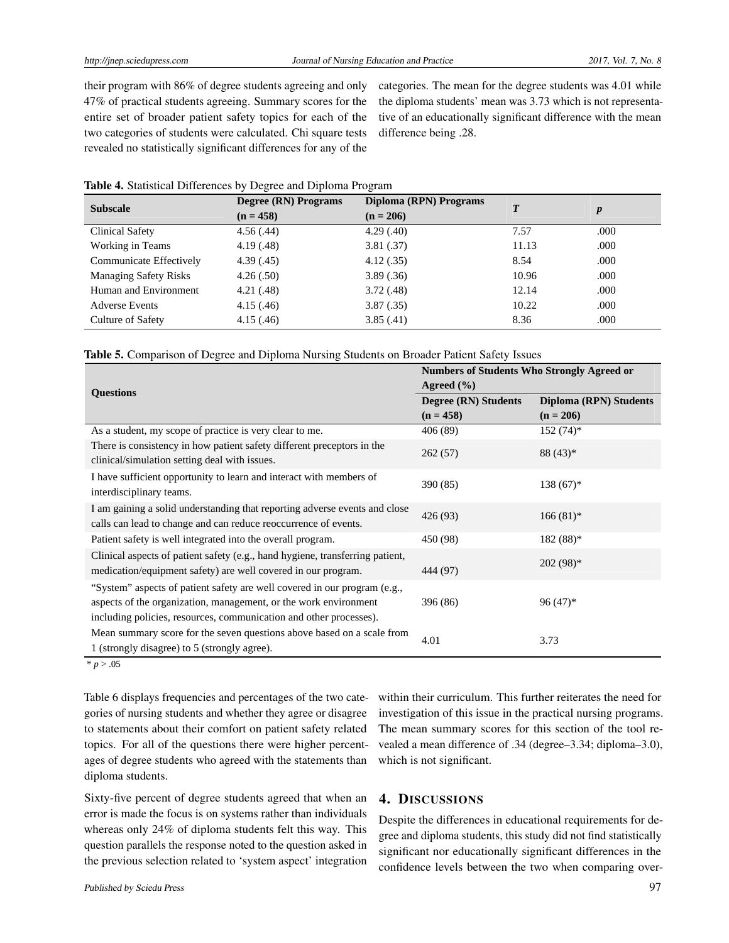their program with 86% of degree students agreeing and only 47% of practical students agreeing. Summary scores for the entire set of broader patient safety topics for each of the two categories of students were calculated. Chi square tests revealed no statistically significant differences for any of the categories. The mean for the degree students was 4.01 while the diploma students' mean was 3.73 which is not representative of an educationally significant difference with the mean difference being .28.

| Table 4. Statistical Differences by Degree and Diploma Program |  |  |  |  |
|----------------------------------------------------------------|--|--|--|--|
|----------------------------------------------------------------|--|--|--|--|

| <b>Subscale</b>              | Degree (RN) Programs | Diploma (RPN) Programs | $\boldsymbol{T}$ |                  |
|------------------------------|----------------------|------------------------|------------------|------------------|
|                              | $(n = 458)$          | $(n = 206)$            |                  | $\boldsymbol{p}$ |
| Clinical Safety              | 4.56(.44)            | 4.29(0.40)             | 7.57             | .000             |
| Working in Teams             | 4.19(0.48)           | 3.81(.37)              | 11.13            | .000             |
| Communicate Effectively      | 4.39(0.45)           | 4.12(.35)              | 8.54             | .000             |
| <b>Managing Safety Risks</b> | 4.26(.50)            | 3.89(.36)              | 10.96            | .000             |
| Human and Environment        | 4.21 (.48)           | 3.72(0.48)             | 12.14            | .000             |
| <b>Adverse Events</b>        | 4.15(0.46)           | 3.87(.35)              | 10.22            | .000             |
| Culture of Safety            | 4.15(0.46)           | 3.85(.41)              | 8.36             | .000             |

|  |  |  |  |  | Table 5. Comparison of Degree and Diploma Nursing Students on Broader Patient Safety Issues |  |  |
|--|--|--|--|--|---------------------------------------------------------------------------------------------|--|--|
|--|--|--|--|--|---------------------------------------------------------------------------------------------|--|--|

|                                                                               | <b>Numbers of Students Who Strongly Agreed or</b> |                        |  |  |
|-------------------------------------------------------------------------------|---------------------------------------------------|------------------------|--|--|
| <b>Questions</b>                                                              | Agreed $(\% )$                                    |                        |  |  |
|                                                                               | Degree (RN) Students                              | Diploma (RPN) Students |  |  |
|                                                                               | $(n = 458)$                                       | $(n = 206)$            |  |  |
| As a student, my scope of practice is very clear to me.                       | 406 (89)                                          | $152(74)$ *            |  |  |
| There is consistency in how patient safety different preceptors in the        | 262(57)                                           | $88(43)*$              |  |  |
| clinical/simulation setting deal with issues.                                 |                                                   |                        |  |  |
| I have sufficient opportunity to learn and interact with members of           |                                                   |                        |  |  |
| interdisciplinary teams.                                                      | 390 (85)                                          | $138(67)^*$            |  |  |
| I am gaining a solid understanding that reporting adverse events and close    |                                                   |                        |  |  |
| calls can lead to change and can reduce reoccurrence of events.               | 426 (93)                                          | $166(81)$ *            |  |  |
| Patient safety is well integrated into the overall program.                   | 450 (98)                                          | $182(88)*$             |  |  |
| Clinical aspects of patient safety (e.g., hand hygiene, transferring patient, |                                                   |                        |  |  |
| medication/equipment safety) are well covered in our program.                 | 444 (97)                                          | $202(98)*$             |  |  |
| "System" aspects of patient safety are well covered in our program (e.g.,     |                                                   |                        |  |  |
| aspects of the organization, management, or the work environment              | 396 (86)                                          | $96(47)^*$             |  |  |
| including policies, resources, communication and other processes).            |                                                   |                        |  |  |
| Mean summary score for the seven questions above based on a scale from        | 4.01                                              |                        |  |  |
| 1 (strongly disagree) to 5 (strongly agree).                                  |                                                   | 3.73                   |  |  |

 $* p > .05$ 

Table 6 displays frequencies and percentages of the two categories of nursing students and whether they agree or disagree to statements about their comfort on patient safety related topics. For all of the questions there were higher percentages of degree students who agreed with the statements than diploma students.

Sixty-five percent of degree students agreed that when an error is made the focus is on systems rather than individuals whereas only 24% of diploma students felt this way. This question parallels the response noted to the question asked in the previous selection related to 'system aspect' integration within their curriculum. This further reiterates the need for investigation of this issue in the practical nursing programs. The mean summary scores for this section of the tool revealed a mean difference of .34 (degree–3.34; diploma–3.0), which is not significant.

## 4. DISCUSSIONS

Despite the differences in educational requirements for degree and diploma students, this study did not find statistically significant nor educationally significant differences in the confidence levels between the two when comparing over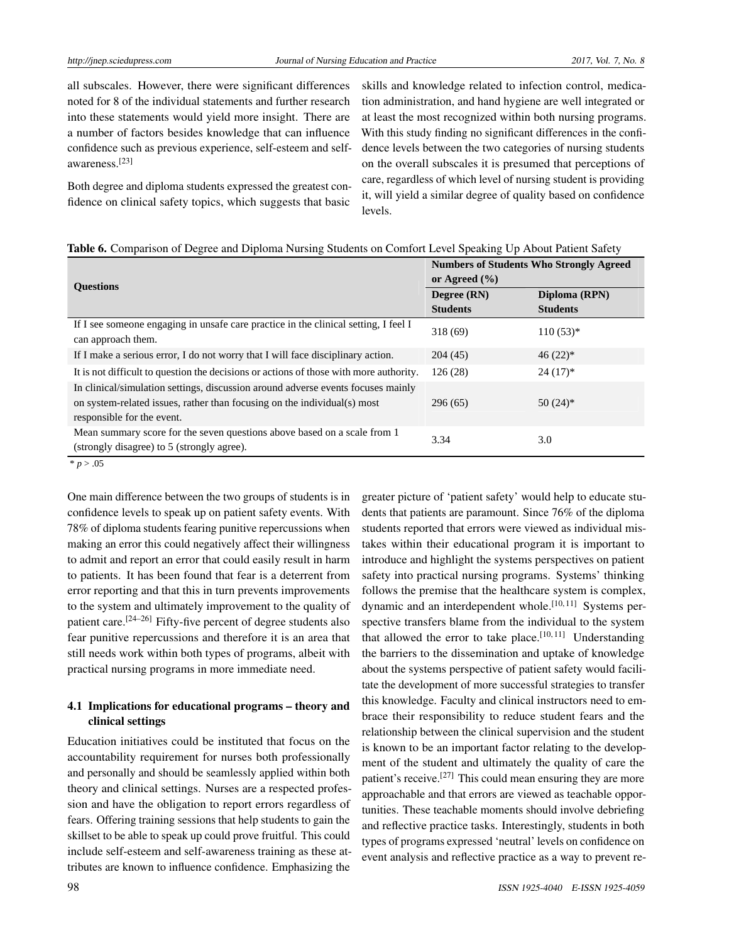all subscales. However, there were significant differences noted for 8 of the individual statements and further research into these statements would yield more insight. There are a number of factors besides knowledge that can influence confidence such as previous experience, self-esteem and selfawareness.[\[23\]](#page-7-21)

Both degree and diploma students expressed the greatest confidence on clinical safety topics, which suggests that basic skills and knowledge related to infection control, medication administration, and hand hygiene are well integrated or at least the most recognized within both nursing programs. With this study finding no significant differences in the confidence levels between the two categories of nursing students on the overall subscales it is presumed that perceptions of care, regardless of which level of nursing student is providing it, will yield a similar degree of quality based on confidence levels.

|  |  |  |  | Table 6. Comparison of Degree and Diploma Nursing Students on Comfort Level Speaking Up About Patient Safety |
|--|--|--|--|--------------------------------------------------------------------------------------------------------------|
|  |  |  |  |                                                                                                              |

| <b>Ouestions</b>                                                                                                                                                                           | <b>Numbers of Students Who Strongly Agreed</b><br>or Agreed $(\% )$ |                 |  |  |
|--------------------------------------------------------------------------------------------------------------------------------------------------------------------------------------------|---------------------------------------------------------------------|-----------------|--|--|
|                                                                                                                                                                                            | Degree (RN)                                                         | Diploma (RPN)   |  |  |
|                                                                                                                                                                                            | <b>Students</b>                                                     | <b>Students</b> |  |  |
| If I see someone engaging in unsafe care practice in the clinical setting, I feel I<br>can approach them.                                                                                  | 318 (69)                                                            | $110(53)*$      |  |  |
| If I make a serious error, I do not worry that I will face disciplinary action.                                                                                                            | 204(45)                                                             | $46(22)*$       |  |  |
| It is not difficult to question the decisions or actions of those with more authority.                                                                                                     | 126(28)                                                             | $24(17)^*$      |  |  |
| In clinical/simulation settings, discussion around adverse events focuses mainly<br>on system-related issues, rather than focusing on the individual(s) most<br>responsible for the event. | 296(65)                                                             | $50(24)$ *      |  |  |
| Mean summary score for the seven questions above based on a scale from 1<br>(strongly disagree) to 5 (strongly agree).                                                                     | 3.34                                                                | 3.0             |  |  |
| * $p > .05$                                                                                                                                                                                |                                                                     |                 |  |  |

One main difference between the two groups of students is in confidence levels to speak up on patient safety events. With 78% of diploma students fearing punitive repercussions when making an error this could negatively affect their willingness to admit and report an error that could easily result in harm to patients. It has been found that fear is a deterrent from error reporting and that this in turn prevents improvements to the system and ultimately improvement to the quality of patient care.[\[24](#page-7-22)[–26\]](#page-7-23) Fifty-five percent of degree students also fear punitive repercussions and therefore it is an area that still needs work within both types of programs, albeit with practical nursing programs in more immediate need.

## 4.1 Implications for educational programs – theory and clinical settings

Education initiatives could be instituted that focus on the accountability requirement for nurses both professionally and personally and should be seamlessly applied within both theory and clinical settings. Nurses are a respected profession and have the obligation to report errors regardless of fears. Offering training sessions that help students to gain the skillset to be able to speak up could prove fruitful. This could include self-esteem and self-awareness training as these attributes are known to influence confidence. Emphasizing the

greater picture of 'patient safety' would help to educate students that patients are paramount. Since 76% of the diploma students reported that errors were viewed as individual mistakes within their educational program it is important to introduce and highlight the systems perspectives on patient safety into practical nursing programs. Systems' thinking follows the premise that the healthcare system is complex, dynamic and an interdependent whole.<sup>[\[10,](#page-7-9) [11\]](#page-7-8)</sup> Systems perspective transfers blame from the individual to the system that allowed the error to take place.<sup>[\[10,](#page-7-9) [11\]](#page-7-8)</sup> Understanding the barriers to the dissemination and uptake of knowledge about the systems perspective of patient safety would facilitate the development of more successful strategies to transfer this knowledge. Faculty and clinical instructors need to embrace their responsibility to reduce student fears and the relationship between the clinical supervision and the student is known to be an important factor relating to the development of the student and ultimately the quality of care the patient's receive.<sup>[\[27\]](#page-7-24)</sup> This could mean ensuring they are more approachable and that errors are viewed as teachable opportunities. These teachable moments should involve debriefing and reflective practice tasks. Interestingly, students in both types of programs expressed 'neutral' levels on confidence on event analysis and reflective practice as a way to prevent re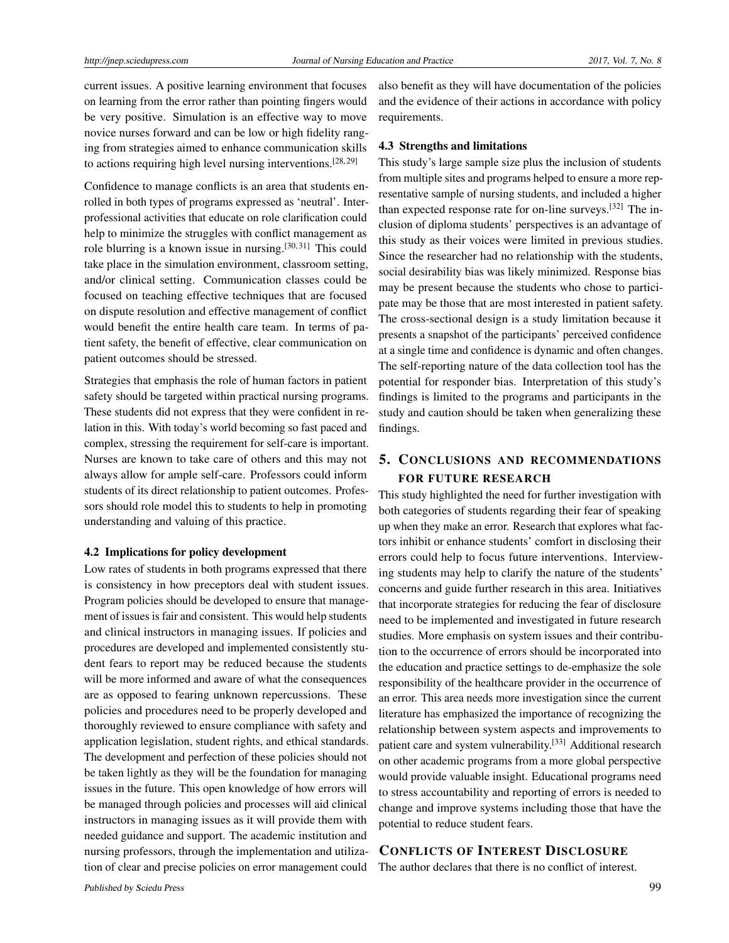current issues. A positive learning environment that focuses on learning from the error rather than pointing fingers would be very positive. Simulation is an effective way to move novice nurses forward and can be low or high fidelity ranging from strategies aimed to enhance communication skills to actions requiring high level nursing interventions.<sup>[\[28,](#page-7-25) [29\]](#page-7-26)</sup>

Confidence to manage conflicts is an area that students enrolled in both types of programs expressed as 'neutral'. Interprofessional activities that educate on role clarification could help to minimize the struggles with conflict management as role blurring is a known issue in nursing. $[30, 31]$  $[30, 31]$  $[30, 31]$  This could take place in the simulation environment, classroom setting, and/or clinical setting. Communication classes could be focused on teaching effective techniques that are focused on dispute resolution and effective management of conflict would benefit the entire health care team. In terms of patient safety, the benefit of effective, clear communication on patient outcomes should be stressed.

Strategies that emphasis the role of human factors in patient safety should be targeted within practical nursing programs. These students did not express that they were confident in relation in this. With today's world becoming so fast paced and complex, stressing the requirement for self-care is important. Nurses are known to take care of others and this may not always allow for ample self-care. Professors could inform students of its direct relationship to patient outcomes. Professors should role model this to students to help in promoting understanding and valuing of this practice.

#### 4.2 Implications for policy development

Low rates of students in both programs expressed that there is consistency in how preceptors deal with student issues. Program policies should be developed to ensure that management of issues is fair and consistent. This would help students and clinical instructors in managing issues. If policies and procedures are developed and implemented consistently student fears to report may be reduced because the students will be more informed and aware of what the consequences are as opposed to fearing unknown repercussions. These policies and procedures need to be properly developed and thoroughly reviewed to ensure compliance with safety and application legislation, student rights, and ethical standards. The development and perfection of these policies should not be taken lightly as they will be the foundation for managing issues in the future. This open knowledge of how errors will be managed through policies and processes will aid clinical instructors in managing issues as it will provide them with needed guidance and support. The academic institution and nursing professors, through the implementation and utilization of clear and precise policies on error management could

also benefit as they will have documentation of the policies and the evidence of their actions in accordance with policy requirements.

#### 4.3 Strengths and limitations

This study's large sample size plus the inclusion of students from multiple sites and programs helped to ensure a more representative sample of nursing students, and included a higher than expected response rate for on-line surveys.[\[32\]](#page-7-29) The inclusion of diploma students' perspectives is an advantage of this study as their voices were limited in previous studies. Since the researcher had no relationship with the students, social desirability bias was likely minimized. Response bias may be present because the students who chose to participate may be those that are most interested in patient safety. The cross-sectional design is a study limitation because it presents a snapshot of the participants' perceived confidence at a single time and confidence is dynamic and often changes. The self-reporting nature of the data collection tool has the potential for responder bias. Interpretation of this study's findings is limited to the programs and participants in the study and caution should be taken when generalizing these findings.

# 5. CONCLUSIONS AND RECOMMENDATIONS FOR FUTURE RESEARCH

This study highlighted the need for further investigation with both categories of students regarding their fear of speaking up when they make an error. Research that explores what factors inhibit or enhance students' comfort in disclosing their errors could help to focus future interventions. Interviewing students may help to clarify the nature of the students' concerns and guide further research in this area. Initiatives that incorporate strategies for reducing the fear of disclosure need to be implemented and investigated in future research studies. More emphasis on system issues and their contribution to the occurrence of errors should be incorporated into the education and practice settings to de-emphasize the sole responsibility of the healthcare provider in the occurrence of an error. This area needs more investigation since the current literature has emphasized the importance of recognizing the relationship between system aspects and improvements to patient care and system vulnerability.<sup>[\[33\]](#page-7-30)</sup> Additional research on other academic programs from a more global perspective would provide valuable insight. Educational programs need to stress accountability and reporting of errors is needed to change and improve systems including those that have the potential to reduce student fears.

### CONFLICTS OF INTEREST DISCLOSURE

The author declares that there is no conflict of interest.